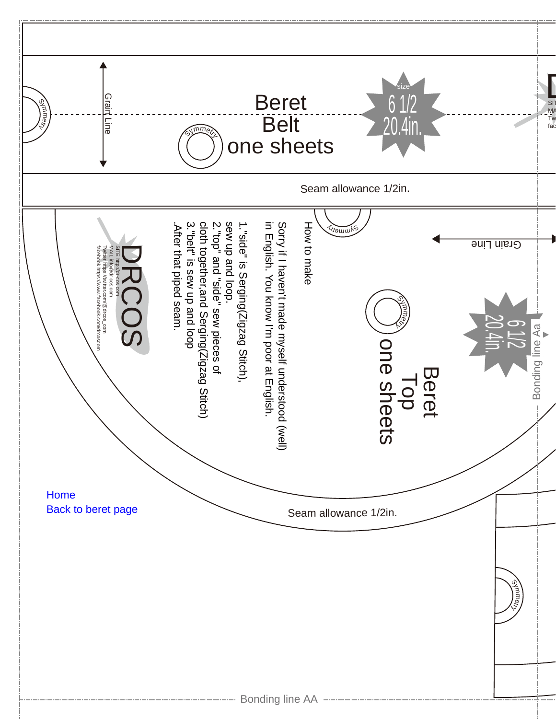